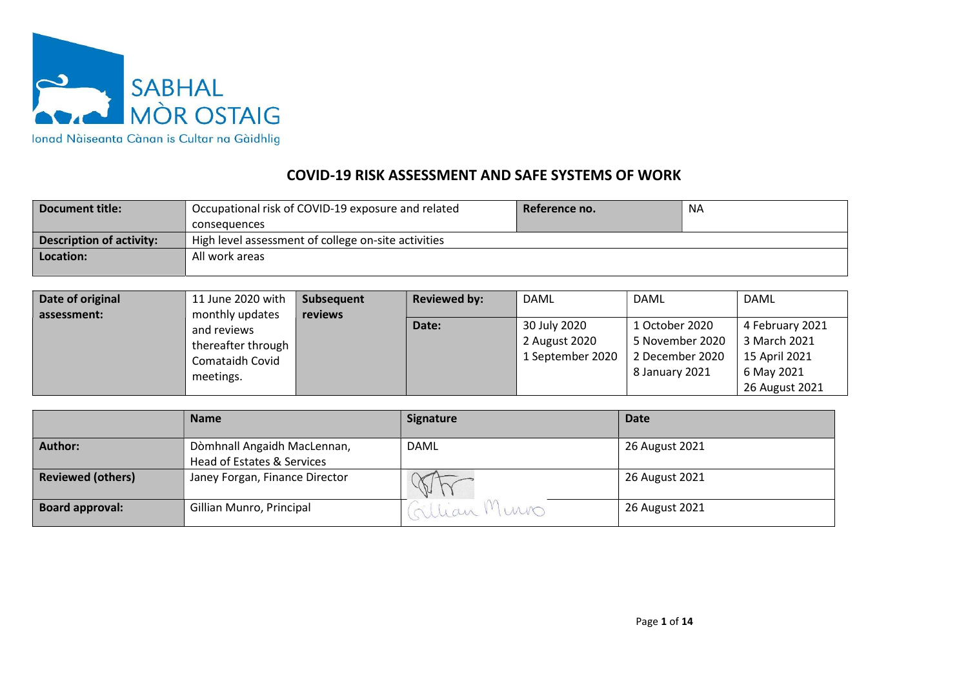

## COVID-19 RISK ASSESSMENT AND SAFE SYSTEMS OF WORK

| Document title:          | Occupational risk of COVID-19 exposure and related  | Reference no. | <b>NA</b> |  |  |  |
|--------------------------|-----------------------------------------------------|---------------|-----------|--|--|--|
|                          | consequences                                        |               |           |  |  |  |
| Description of activity: | High level assessment of college on-site activities |               |           |  |  |  |
| Location:                | All work areas                                      |               |           |  |  |  |
|                          |                                                     |               |           |  |  |  |

| Date of original | 11 June 2020 with  | Subsequent | <b>Reviewed by:</b> | DAML             | <b>DAML</b>     | DAML            |
|------------------|--------------------|------------|---------------------|------------------|-----------------|-----------------|
| assessment:      | monthly updates    | reviews    |                     |                  |                 |                 |
|                  | and reviews        |            | Date:               | 30 July 2020     | 1 October 2020  | 4 February 2021 |
|                  | thereafter through |            |                     | 2 August 2020    | 5 November 2020 | 3 March 2021    |
|                  | Comataidh Covid    |            |                     | 1 September 2020 | 2 December 2020 | 15 April 2021   |
|                  | meetings.          |            |                     |                  | 8 January 2021  | 6 May 2021      |
|                  |                    |            |                     |                  |                 | 26 August 2021  |

|                          | <b>Name</b>                                               | <b>Signature</b> | <b>Date</b>    |
|--------------------------|-----------------------------------------------------------|------------------|----------------|
| <b>Author:</b>           | Dòmhnall Angaidh MacLennan,<br>Head of Estates & Services | DAML             | 26 August 2021 |
| <b>Reviewed (others)</b> | Janey Forgan, Finance Director                            | $\mathbb{Q}$     | 26 August 2021 |
| <b>Board approval:</b>   | Gillian Munro, Principal                                  | Gillian Muno     | 26 August 2021 |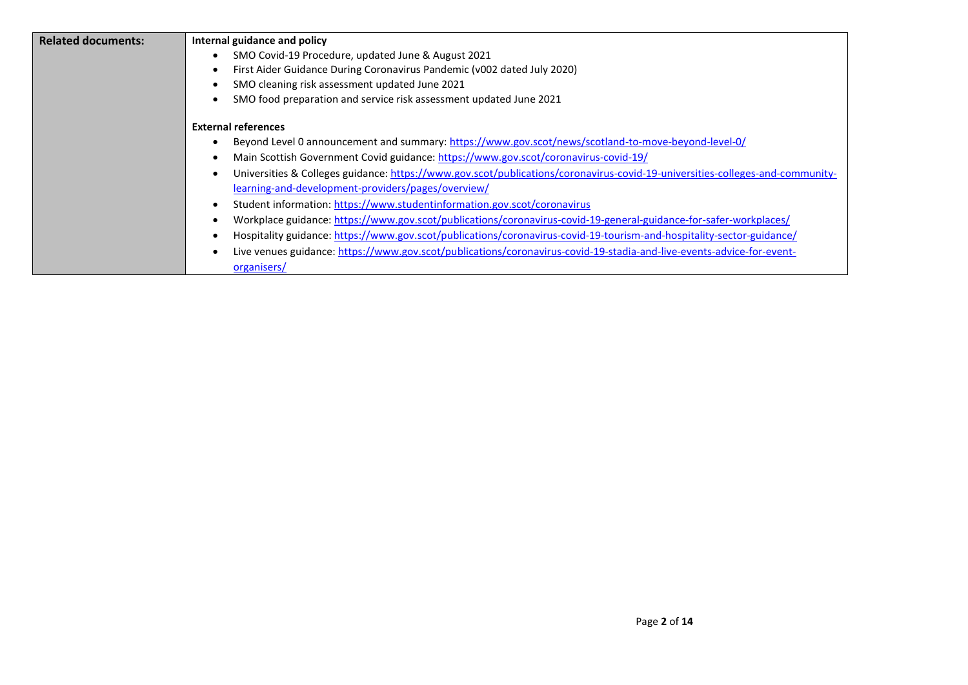| <b>Related documents:</b> | Internal guidance and policy                                                                                                  |
|---------------------------|-------------------------------------------------------------------------------------------------------------------------------|
|                           | SMO Covid-19 Procedure, updated June & August 2021                                                                            |
|                           | First Aider Guidance During Coronavirus Pandemic (v002 dated July 2020)                                                       |
|                           | SMO cleaning risk assessment updated June 2021                                                                                |
|                           | SMO food preparation and service risk assessment updated June 2021                                                            |
|                           | <b>External references</b>                                                                                                    |
|                           | Beyond Level 0 announcement and summary: https://www.gov.scot/news/scotland-to-move-beyond-level-0/                           |
|                           | Main Scottish Government Covid guidance: https://www.gov.scot/coronavirus-covid-19/                                           |
|                           | Universities & Colleges guidance: https://www.gov.scot/publications/coronavirus-covid-19-universities-colleges-and-community- |
|                           | learning-and-development-providers/pages/overview/                                                                            |
|                           | Student information: https://www.studentinformation.gov.scot/coronavirus                                                      |
|                           | Workplace guidance: https://www.gov.scot/publications/coronavirus-covid-19-general-guidance-for-safer-workplaces/             |
|                           | Hospitality guidance: https://www.gov.scot/publications/coronavirus-covid-19-tourism-and-hospitality-sector-guidance/         |
|                           | Live venues guidance: https://www.gov.scot/publications/coronavirus-covid-19-stadia-and-live-events-advice-for-event-         |
|                           | organisers/                                                                                                                   |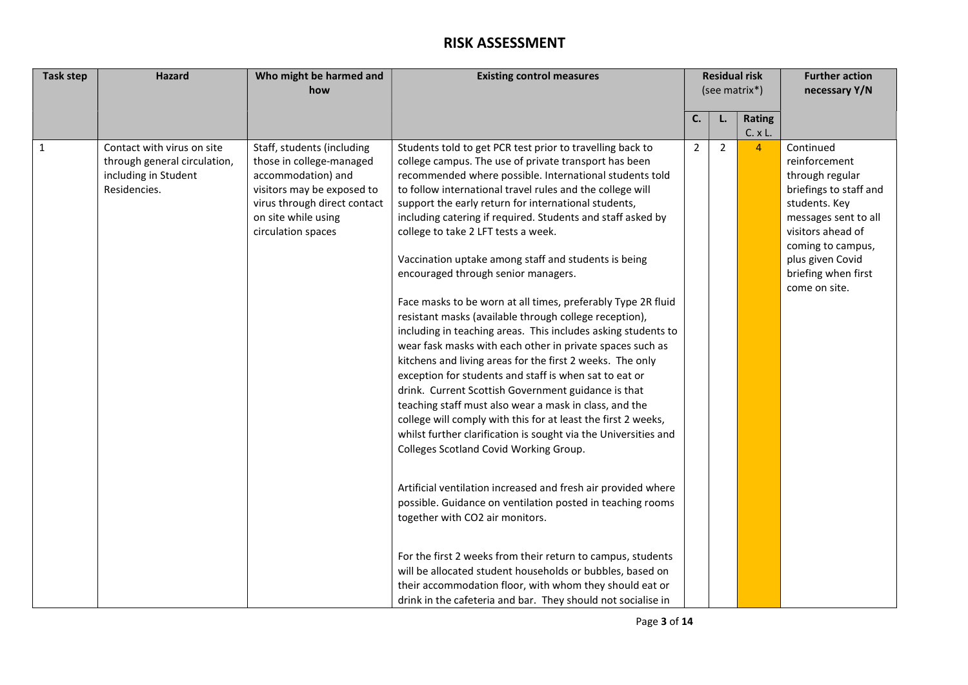## RISK ASSESSMENT

| <b>Task step</b> | <b>Hazard</b>                                                                                      | Who might be harmed and                                                                                                                                                                 | <b>Existing control measures</b>                                                                                                                                                                                                                                                                                                                                                                                                                                                                                                                                                                                                                                                                                                                                                                                                                                                                                                                                                                                                                                                                                                                                                                                                                                                                                                                                                                                                                                                                                                               | <b>Residual risk</b> |                |                           | <b>Further action</b>                                                                                                                                                                                                  |
|------------------|----------------------------------------------------------------------------------------------------|-----------------------------------------------------------------------------------------------------------------------------------------------------------------------------------------|------------------------------------------------------------------------------------------------------------------------------------------------------------------------------------------------------------------------------------------------------------------------------------------------------------------------------------------------------------------------------------------------------------------------------------------------------------------------------------------------------------------------------------------------------------------------------------------------------------------------------------------------------------------------------------------------------------------------------------------------------------------------------------------------------------------------------------------------------------------------------------------------------------------------------------------------------------------------------------------------------------------------------------------------------------------------------------------------------------------------------------------------------------------------------------------------------------------------------------------------------------------------------------------------------------------------------------------------------------------------------------------------------------------------------------------------------------------------------------------------------------------------------------------------|----------------------|----------------|---------------------------|------------------------------------------------------------------------------------------------------------------------------------------------------------------------------------------------------------------------|
|                  |                                                                                                    | how                                                                                                                                                                                     |                                                                                                                                                                                                                                                                                                                                                                                                                                                                                                                                                                                                                                                                                                                                                                                                                                                                                                                                                                                                                                                                                                                                                                                                                                                                                                                                                                                                                                                                                                                                                | (see matrix*)        |                |                           | necessary Y/N                                                                                                                                                                                                          |
|                  |                                                                                                    |                                                                                                                                                                                         |                                                                                                                                                                                                                                                                                                                                                                                                                                                                                                                                                                                                                                                                                                                                                                                                                                                                                                                                                                                                                                                                                                                                                                                                                                                                                                                                                                                                                                                                                                                                                | C.                   |                | Rating                    |                                                                                                                                                                                                                        |
|                  |                                                                                                    |                                                                                                                                                                                         |                                                                                                                                                                                                                                                                                                                                                                                                                                                                                                                                                                                                                                                                                                                                                                                                                                                                                                                                                                                                                                                                                                                                                                                                                                                                                                                                                                                                                                                                                                                                                |                      | L.             |                           |                                                                                                                                                                                                                        |
| $\mathbf{1}$     | Contact with virus on site<br>through general circulation,<br>including in Student<br>Residencies. | Staff, students (including<br>those in college-managed<br>accommodation) and<br>visitors may be exposed to<br>virus through direct contact<br>on site while using<br>circulation spaces | Students told to get PCR test prior to travelling back to<br>college campus. The use of private transport has been<br>recommended where possible. International students told<br>to follow international travel rules and the college will<br>support the early return for international students,<br>including catering if required. Students and staff asked by<br>college to take 2 LFT tests a week.<br>Vaccination uptake among staff and students is being<br>encouraged through senior managers.<br>Face masks to be worn at all times, preferably Type 2R fluid<br>resistant masks (available through college reception),<br>including in teaching areas. This includes asking students to<br>wear fask masks with each other in private spaces such as<br>kitchens and living areas for the first 2 weeks. The only<br>exception for students and staff is when sat to eat or<br>drink. Current Scottish Government guidance is that<br>teaching staff must also wear a mask in class, and the<br>college will comply with this for at least the first 2 weeks,<br>whilst further clarification is sought via the Universities and<br>Colleges Scotland Covid Working Group.<br>Artificial ventilation increased and fresh air provided where<br>possible. Guidance on ventilation posted in teaching rooms<br>together with CO2 air monitors.<br>For the first 2 weeks from their return to campus, students<br>will be allocated student households or bubbles, based on<br>their accommodation floor, with whom they should eat or | $\overline{2}$       | $\overline{2}$ | C. x L.<br>$\overline{4}$ | Continued<br>reinforcement<br>through regular<br>briefings to staff and<br>students. Key<br>messages sent to all<br>visitors ahead of<br>coming to campus,<br>plus given Covid<br>briefing when first<br>come on site. |
|                  |                                                                                                    |                                                                                                                                                                                         | drink in the cafeteria and bar. They should not socialise in                                                                                                                                                                                                                                                                                                                                                                                                                                                                                                                                                                                                                                                                                                                                                                                                                                                                                                                                                                                                                                                                                                                                                                                                                                                                                                                                                                                                                                                                                   |                      |                |                           |                                                                                                                                                                                                                        |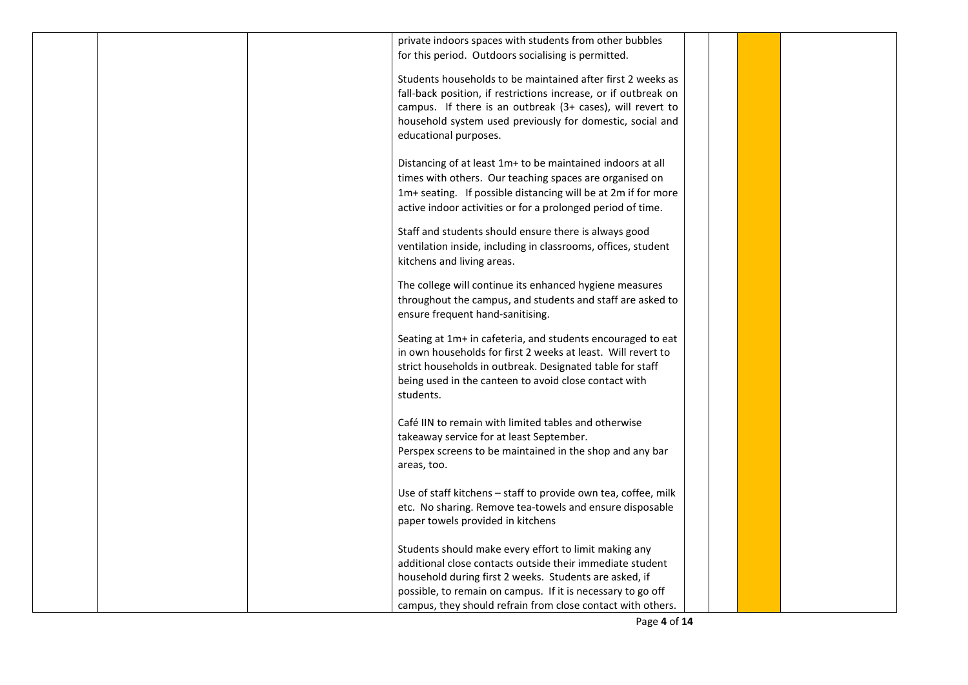|  | private indoors spaces with students from other bubbles         |  |  |
|--|-----------------------------------------------------------------|--|--|
|  |                                                                 |  |  |
|  | for this period. Outdoors socialising is permitted.             |  |  |
|  | Students households to be maintained after first 2 weeks as     |  |  |
|  |                                                                 |  |  |
|  | fall-back position, if restrictions increase, or if outbreak on |  |  |
|  | campus. If there is an outbreak (3+ cases), will revert to      |  |  |
|  | household system used previously for domestic, social and       |  |  |
|  | educational purposes.                                           |  |  |
|  |                                                                 |  |  |
|  | Distancing of at least 1m+ to be maintained indoors at all      |  |  |
|  | times with others. Our teaching spaces are organised on         |  |  |
|  | 1m+ seating. If possible distancing will be at 2m if for more   |  |  |
|  | active indoor activities or for a prolonged period of time.     |  |  |
|  |                                                                 |  |  |
|  | Staff and students should ensure there is always good           |  |  |
|  | ventilation inside, including in classrooms, offices, student   |  |  |
|  | kitchens and living areas.                                      |  |  |
|  |                                                                 |  |  |
|  | The college will continue its enhanced hygiene measures         |  |  |
|  | throughout the campus, and students and staff are asked to      |  |  |
|  | ensure frequent hand-sanitising.                                |  |  |
|  |                                                                 |  |  |
|  | Seating at 1m+ in cafeteria, and students encouraged to eat     |  |  |
|  | in own households for first 2 weeks at least. Will revert to    |  |  |
|  | strict households in outbreak. Designated table for staff       |  |  |
|  | being used in the canteen to avoid close contact with           |  |  |
|  | students.                                                       |  |  |
|  |                                                                 |  |  |
|  |                                                                 |  |  |
|  | Café IIN to remain with limited tables and otherwise            |  |  |
|  | takeaway service for at least September.                        |  |  |
|  | Perspex screens to be maintained in the shop and any bar        |  |  |
|  | areas, too.                                                     |  |  |
|  |                                                                 |  |  |
|  | Use of staff kitchens - staff to provide own tea, coffee, milk  |  |  |
|  | etc. No sharing. Remove tea-towels and ensure disposable        |  |  |
|  | paper towels provided in kitchens                               |  |  |
|  |                                                                 |  |  |
|  | Students should make every effort to limit making any           |  |  |
|  | additional close contacts outside their immediate student       |  |  |
|  | household during first 2 weeks. Students are asked, if          |  |  |
|  | possible, to remain on campus. If it is necessary to go off     |  |  |
|  | campus, they should refrain from close contact with others.     |  |  |
|  |                                                                 |  |  |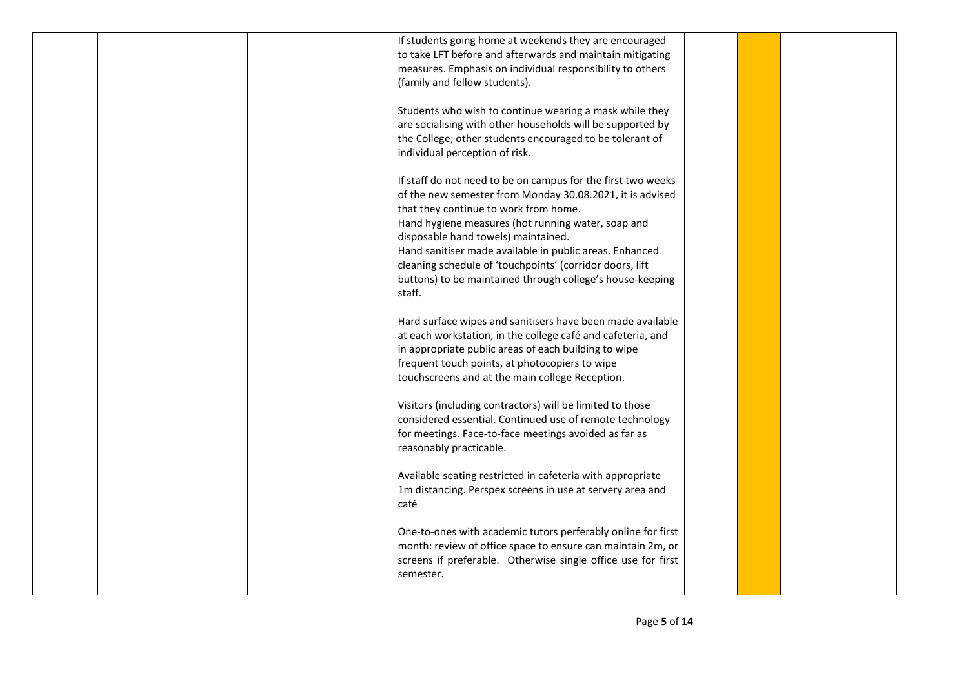|  | If students going home at weekends they are encouraged                                                                    |  |  |
|--|---------------------------------------------------------------------------------------------------------------------------|--|--|
|  | to take LFT before and afterwards and maintain mitigating<br>measures. Emphasis on individual responsibility to others    |  |  |
|  | (family and fellow students).                                                                                             |  |  |
|  |                                                                                                                           |  |  |
|  | Students who wish to continue wearing a mask while they                                                                   |  |  |
|  | are socialising with other households will be supported by                                                                |  |  |
|  | the College; other students encouraged to be tolerant of                                                                  |  |  |
|  | individual perception of risk.                                                                                            |  |  |
|  | If staff do not need to be on campus for the first two weeks                                                              |  |  |
|  | of the new semester from Monday 30.08.2021, it is advised                                                                 |  |  |
|  | that they continue to work from home.                                                                                     |  |  |
|  | Hand hygiene measures (hot running water, soap and                                                                        |  |  |
|  | disposable hand towels) maintained.<br>Hand sanitiser made available in public areas. Enhanced                            |  |  |
|  | cleaning schedule of 'touchpoints' (corridor doors, lift                                                                  |  |  |
|  | buttons) to be maintained through college's house-keeping                                                                 |  |  |
|  | staff.                                                                                                                    |  |  |
|  |                                                                                                                           |  |  |
|  | Hard surface wipes and sanitisers have been made available<br>at each workstation, in the college café and cafeteria, and |  |  |
|  | in appropriate public areas of each building to wipe                                                                      |  |  |
|  | frequent touch points, at photocopiers to wipe                                                                            |  |  |
|  | touchscreens and at the main college Reception.                                                                           |  |  |
|  |                                                                                                                           |  |  |
|  | Visitors (including contractors) will be limited to those<br>considered essential. Continued use of remote technology     |  |  |
|  | for meetings. Face-to-face meetings avoided as far as                                                                     |  |  |
|  | reasonably practicable.                                                                                                   |  |  |
|  |                                                                                                                           |  |  |
|  | Available seating restricted in cafeteria with appropriate                                                                |  |  |
|  | 1m distancing. Perspex screens in use at servery area and<br>café                                                         |  |  |
|  |                                                                                                                           |  |  |
|  | One-to-ones with academic tutors perferably online for first                                                              |  |  |
|  | month: review of office space to ensure can maintain 2m, or                                                               |  |  |
|  | screens if preferable. Otherwise single office use for first                                                              |  |  |
|  | semester.                                                                                                                 |  |  |
|  |                                                                                                                           |  |  |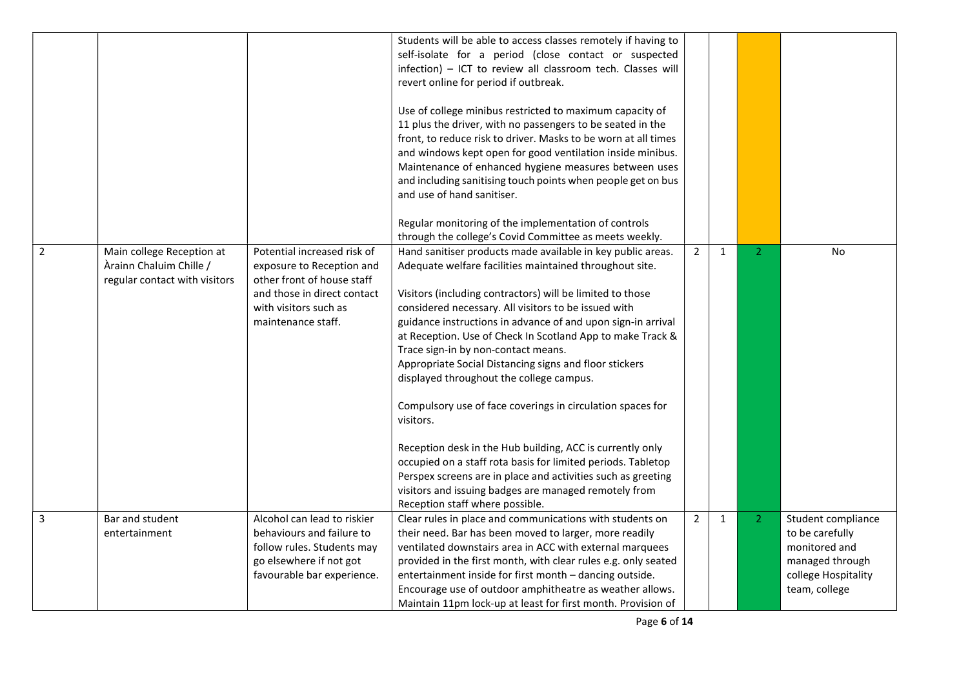|                |                                                                                       |                                                                                                                                                                      | Students will be able to access classes remotely if having to<br>self-isolate for a period (close contact or suspected<br>infection) - ICT to review all classroom tech. Classes will<br>revert online for period if outbreak.<br>Use of college minibus restricted to maximum capacity of<br>11 plus the driver, with no passengers to be seated in the<br>front, to reduce risk to driver. Masks to be worn at all times<br>and windows kept open for good ventilation inside minibus.<br>Maintenance of enhanced hygiene measures between uses<br>and including sanitising touch points when people get on bus<br>and use of hand sanitiser.<br>Regular monitoring of the implementation of controls                                                                                                                                                                                    |                |              |                |                                                                                                                   |
|----------------|---------------------------------------------------------------------------------------|----------------------------------------------------------------------------------------------------------------------------------------------------------------------|--------------------------------------------------------------------------------------------------------------------------------------------------------------------------------------------------------------------------------------------------------------------------------------------------------------------------------------------------------------------------------------------------------------------------------------------------------------------------------------------------------------------------------------------------------------------------------------------------------------------------------------------------------------------------------------------------------------------------------------------------------------------------------------------------------------------------------------------------------------------------------------------|----------------|--------------|----------------|-------------------------------------------------------------------------------------------------------------------|
|                |                                                                                       |                                                                                                                                                                      | through the college's Covid Committee as meets weekly.                                                                                                                                                                                                                                                                                                                                                                                                                                                                                                                                                                                                                                                                                                                                                                                                                                     |                |              |                |                                                                                                                   |
| $\overline{2}$ | Main college Reception at<br>Àrainn Chaluim Chille /<br>regular contact with visitors | Potential increased risk of<br>exposure to Reception and<br>other front of house staff<br>and those in direct contact<br>with visitors such as<br>maintenance staff. | Hand sanitiser products made available in key public areas.<br>Adequate welfare facilities maintained throughout site.<br>Visitors (including contractors) will be limited to those<br>considered necessary. All visitors to be issued with<br>guidance instructions in advance of and upon sign-in arrival<br>at Reception. Use of Check In Scotland App to make Track &<br>Trace sign-in by non-contact means.<br>Appropriate Social Distancing signs and floor stickers<br>displayed throughout the college campus.<br>Compulsory use of face coverings in circulation spaces for<br>visitors.<br>Reception desk in the Hub building, ACC is currently only<br>occupied on a staff rota basis for limited periods. Tabletop<br>Perspex screens are in place and activities such as greeting<br>visitors and issuing badges are managed remotely from<br>Reception staff where possible. | $\overline{2}$ | $\mathbf{1}$ | 2 <sup>1</sup> | <b>No</b>                                                                                                         |
| 3              | Bar and student<br>entertainment                                                      | Alcohol can lead to riskier<br>behaviours and failure to<br>follow rules. Students may<br>go elsewhere if not got<br>favourable bar experience.                      | Clear rules in place and communications with students on<br>their need. Bar has been moved to larger, more readily<br>ventilated downstairs area in ACC with external marquees<br>provided in the first month, with clear rules e.g. only seated<br>entertainment inside for first month - dancing outside.<br>Encourage use of outdoor amphitheatre as weather allows.<br>Maintain 11pm lock-up at least for first month. Provision of                                                                                                                                                                                                                                                                                                                                                                                                                                                    | $\overline{2}$ | $\mathbf{1}$ | $\overline{2}$ | Student compliance<br>to be carefully<br>monitored and<br>managed through<br>college Hospitality<br>team, college |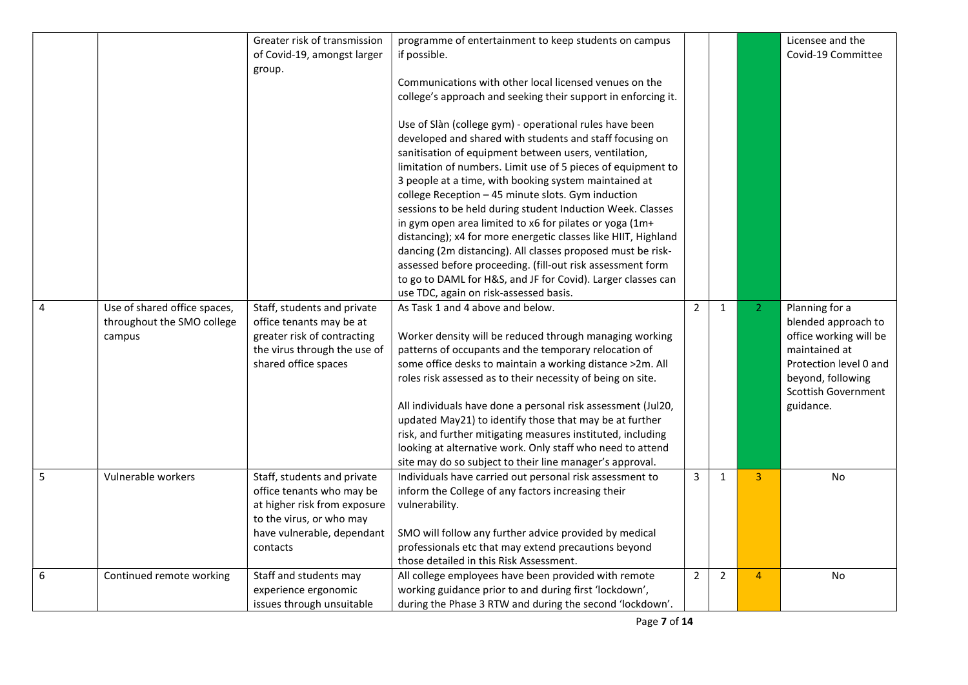|   |                              | Greater risk of transmission | programme of entertainment to keep students on campus          |                |                |                | Licensee and the           |
|---|------------------------------|------------------------------|----------------------------------------------------------------|----------------|----------------|----------------|----------------------------|
|   |                              | of Covid-19, amongst larger  | if possible.                                                   |                |                |                | Covid-19 Committee         |
|   |                              | group.                       |                                                                |                |                |                |                            |
|   |                              |                              | Communications with other local licensed venues on the         |                |                |                |                            |
|   |                              |                              | college's approach and seeking their support in enforcing it.  |                |                |                |                            |
|   |                              |                              |                                                                |                |                |                |                            |
|   |                              |                              | Use of Slàn (college gym) - operational rules have been        |                |                |                |                            |
|   |                              |                              |                                                                |                |                |                |                            |
|   |                              |                              | developed and shared with students and staff focusing on       |                |                |                |                            |
|   |                              |                              | sanitisation of equipment between users, ventilation,          |                |                |                |                            |
|   |                              |                              | limitation of numbers. Limit use of 5 pieces of equipment to   |                |                |                |                            |
|   |                              |                              | 3 people at a time, with booking system maintained at          |                |                |                |                            |
|   |                              |                              | college Reception - 45 minute slots. Gym induction             |                |                |                |                            |
|   |                              |                              | sessions to be held during student Induction Week. Classes     |                |                |                |                            |
|   |                              |                              | in gym open area limited to x6 for pilates or yoga (1m+        |                |                |                |                            |
|   |                              |                              | distancing); x4 for more energetic classes like HIIT, Highland |                |                |                |                            |
|   |                              |                              | dancing (2m distancing). All classes proposed must be risk-    |                |                |                |                            |
|   |                              |                              | assessed before proceeding. (fill-out risk assessment form     |                |                |                |                            |
|   |                              |                              | to go to DAML for H&S, and JF for Covid). Larger classes can   |                |                |                |                            |
|   |                              |                              | use TDC, again on risk-assessed basis.                         |                |                |                |                            |
| 4 | Use of shared office spaces, | Staff, students and private  | As Task 1 and 4 above and below.                               | $\overline{2}$ | 1              | 2 <sup>1</sup> | Planning for a             |
|   | throughout the SMO college   | office tenants may be at     |                                                                |                |                |                | blended approach to        |
|   | campus                       | greater risk of contracting  | Worker density will be reduced through managing working        |                |                |                | office working will be     |
|   |                              | the virus through the use of | patterns of occupants and the temporary relocation of          |                |                |                | maintained at              |
|   |                              | shared office spaces         | some office desks to maintain a working distance >2m. All      |                |                |                | Protection level 0 and     |
|   |                              |                              | roles risk assessed as to their necessity of being on site.    |                |                |                | beyond, following          |
|   |                              |                              |                                                                |                |                |                | <b>Scottish Government</b> |
|   |                              |                              | All individuals have done a personal risk assessment (Jul20,   |                |                |                | guidance.                  |
|   |                              |                              | updated May21) to identify those that may be at further        |                |                |                |                            |
|   |                              |                              | risk, and further mitigating measures instituted, including    |                |                |                |                            |
|   |                              |                              |                                                                |                |                |                |                            |
|   |                              |                              | looking at alternative work. Only staff who need to attend     |                |                |                |                            |
|   |                              |                              | site may do so subject to their line manager's approval.       |                |                |                |                            |
| 5 | Vulnerable workers           | Staff, students and private  | Individuals have carried out personal risk assessment to       | 3              | $\mathbf{1}$   | $\overline{3}$ | <b>No</b>                  |
|   |                              | office tenants who may be    | inform the College of any factors increasing their             |                |                |                |                            |
|   |                              | at higher risk from exposure | vulnerability.                                                 |                |                |                |                            |
|   |                              | to the virus, or who may     |                                                                |                |                |                |                            |
|   |                              | have vulnerable, dependant   | SMO will follow any further advice provided by medical         |                |                |                |                            |
|   |                              | contacts                     | professionals etc that may extend precautions beyond           |                |                |                |                            |
|   |                              |                              | those detailed in this Risk Assessment.                        |                |                |                |                            |
| 6 | Continued remote working     | Staff and students may       | All college employees have been provided with remote           | $\overline{2}$ | $\overline{2}$ | $\overline{4}$ | No                         |
|   |                              | experience ergonomic         | working guidance prior to and during first 'lockdown',         |                |                |                |                            |
|   |                              | issues through unsuitable    | during the Phase 3 RTW and during the second 'lockdown'.       |                |                |                |                            |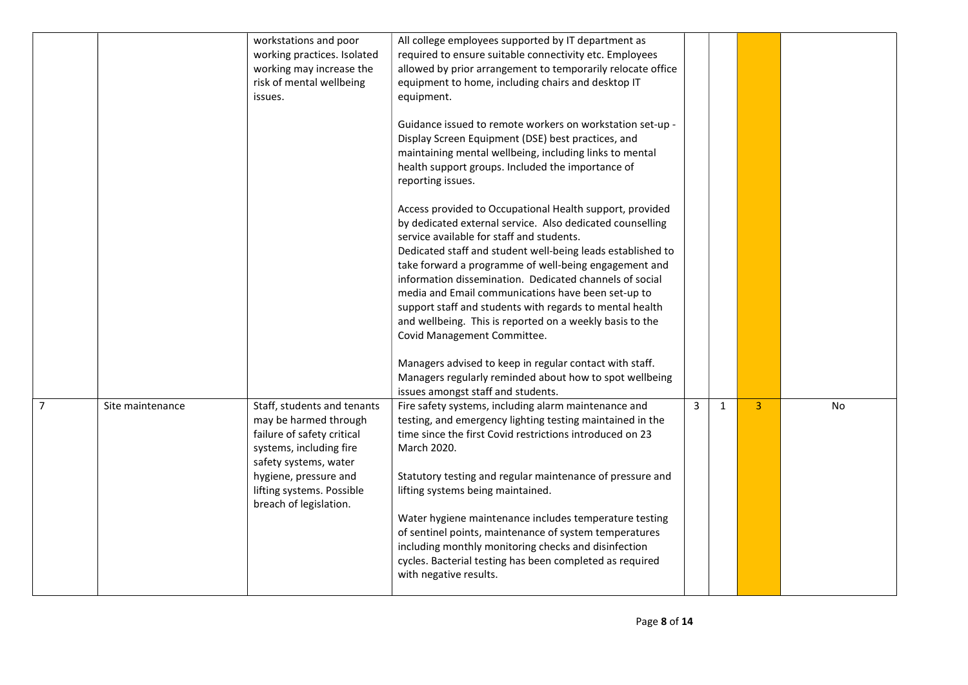|                |                  | workstations and poor<br>working practices. Isolated<br>working may increase the<br>risk of mental wellbeing<br>issues.                                                                                                | All college employees supported by IT department as<br>required to ensure suitable connectivity etc. Employees<br>allowed by prior arrangement to temporarily relocate office<br>equipment to home, including chairs and desktop IT<br>equipment.<br>Guidance issued to remote workers on workstation set-up -<br>Display Screen Equipment (DSE) best practices, and<br>maintaining mental wellbeing, including links to mental<br>health support groups. Included the importance of<br>reporting issues.<br>Access provided to Occupational Health support, provided<br>by dedicated external service. Also dedicated counselling<br>service available for staff and students. |   |              |                |     |
|----------------|------------------|------------------------------------------------------------------------------------------------------------------------------------------------------------------------------------------------------------------------|---------------------------------------------------------------------------------------------------------------------------------------------------------------------------------------------------------------------------------------------------------------------------------------------------------------------------------------------------------------------------------------------------------------------------------------------------------------------------------------------------------------------------------------------------------------------------------------------------------------------------------------------------------------------------------|---|--------------|----------------|-----|
|                |                  |                                                                                                                                                                                                                        | Dedicated staff and student well-being leads established to<br>take forward a programme of well-being engagement and<br>information dissemination. Dedicated channels of social<br>media and Email communications have been set-up to<br>support staff and students with regards to mental health<br>and wellbeing. This is reported on a weekly basis to the<br>Covid Management Committee.<br>Managers advised to keep in regular contact with staff.<br>Managers regularly reminded about how to spot wellbeing<br>issues amongst staff and students.                                                                                                                        |   |              |                |     |
| $\overline{7}$ | Site maintenance | Staff, students and tenants<br>may be harmed through<br>failure of safety critical<br>systems, including fire<br>safety systems, water<br>hygiene, pressure and<br>lifting systems. Possible<br>breach of legislation. | Fire safety systems, including alarm maintenance and<br>testing, and emergency lighting testing maintained in the<br>time since the first Covid restrictions introduced on 23<br>March 2020.<br>Statutory testing and regular maintenance of pressure and<br>lifting systems being maintained.<br>Water hygiene maintenance includes temperature testing<br>of sentinel points, maintenance of system temperatures<br>including monthly monitoring checks and disinfection<br>cycles. Bacterial testing has been completed as required<br>with negative results.                                                                                                                | 3 | $\mathbf{1}$ | $\overline{3}$ | No. |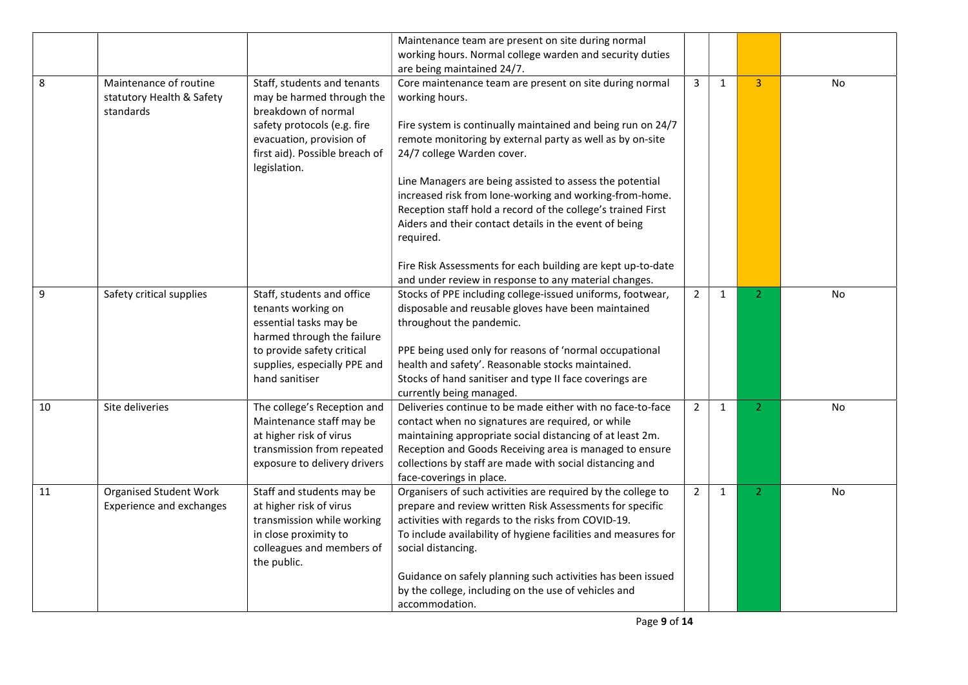|    |                                 |                                                | Maintenance team are present on site during normal                                     |                |              |                |           |
|----|---------------------------------|------------------------------------------------|----------------------------------------------------------------------------------------|----------------|--------------|----------------|-----------|
|    |                                 |                                                | working hours. Normal college warden and security duties                               |                |              |                |           |
|    |                                 |                                                | are being maintained 24/7.                                                             |                |              |                |           |
| 8  | Maintenance of routine          | Staff, students and tenants                    | Core maintenance team are present on site during normal                                | 3              | $\mathbf{1}$ | $\overline{3}$ | No        |
|    | statutory Health & Safety       | may be harmed through the                      | working hours.                                                                         |                |              |                |           |
|    | standards                       | breakdown of normal                            |                                                                                        |                |              |                |           |
|    |                                 | safety protocols (e.g. fire                    | Fire system is continually maintained and being run on 24/7                            |                |              |                |           |
|    |                                 | evacuation, provision of                       | remote monitoring by external party as well as by on-site                              |                |              |                |           |
|    |                                 | first aid). Possible breach of<br>legislation. | 24/7 college Warden cover.                                                             |                |              |                |           |
|    |                                 |                                                | Line Managers are being assisted to assess the potential                               |                |              |                |           |
|    |                                 |                                                | increased risk from lone-working and working-from-home.                                |                |              |                |           |
|    |                                 |                                                | Reception staff hold a record of the college's trained First                           |                |              |                |           |
|    |                                 |                                                | Aiders and their contact details in the event of being                                 |                |              |                |           |
|    |                                 |                                                | required.                                                                              |                |              |                |           |
|    |                                 |                                                |                                                                                        |                |              |                |           |
|    |                                 |                                                | Fire Risk Assessments for each building are kept up-to-date                            |                |              |                |           |
|    |                                 |                                                | and under review in response to any material changes.                                  |                |              |                |           |
| 9  | Safety critical supplies        | Staff, students and office                     | Stocks of PPE including college-issued uniforms, footwear,                             | $\overline{2}$ | $\mathbf{1}$ | $\overline{2}$ | <b>No</b> |
|    |                                 | tenants working on                             | disposable and reusable gloves have been maintained                                    |                |              |                |           |
|    |                                 | essential tasks may be                         | throughout the pandemic.                                                               |                |              |                |           |
|    |                                 | harmed through the failure                     |                                                                                        |                |              |                |           |
|    |                                 | to provide safety critical                     | PPE being used only for reasons of 'normal occupational                                |                |              |                |           |
|    |                                 | supplies, especially PPE and                   | health and safety'. Reasonable stocks maintained.                                      |                |              |                |           |
|    |                                 | hand sanitiser                                 | Stocks of hand sanitiser and type II face coverings are                                |                |              |                |           |
| 10 | Site deliveries                 | The college's Reception and                    | currently being managed.<br>Deliveries continue to be made either with no face-to-face | $\overline{2}$ | $\mathbf{1}$ | $\overline{2}$ | No        |
|    |                                 | Maintenance staff may be                       | contact when no signatures are required, or while                                      |                |              |                |           |
|    |                                 | at higher risk of virus                        | maintaining appropriate social distancing of at least 2m.                              |                |              |                |           |
|    |                                 | transmission from repeated                     | Reception and Goods Receiving area is managed to ensure                                |                |              |                |           |
|    |                                 | exposure to delivery drivers                   | collections by staff are made with social distancing and                               |                |              |                |           |
|    |                                 |                                                | face-coverings in place.                                                               |                |              |                |           |
| 11 | <b>Organised Student Work</b>   | Staff and students may be                      | Organisers of such activities are required by the college to                           | $\overline{2}$ | $\mathbf{1}$ | $\overline{2}$ | <b>No</b> |
|    | <b>Experience and exchanges</b> | at higher risk of virus                        | prepare and review written Risk Assessments for specific                               |                |              |                |           |
|    |                                 | transmission while working                     | activities with regards to the risks from COVID-19.                                    |                |              |                |           |
|    |                                 | in close proximity to                          | To include availability of hygiene facilities and measures for                         |                |              |                |           |
|    |                                 | colleagues and members of<br>the public.       | social distancing.                                                                     |                |              |                |           |
|    |                                 |                                                | Guidance on safely planning such activities has been issued                            |                |              |                |           |
|    |                                 |                                                | by the college, including on the use of vehicles and                                   |                |              |                |           |
|    |                                 |                                                | accommodation.                                                                         |                |              |                |           |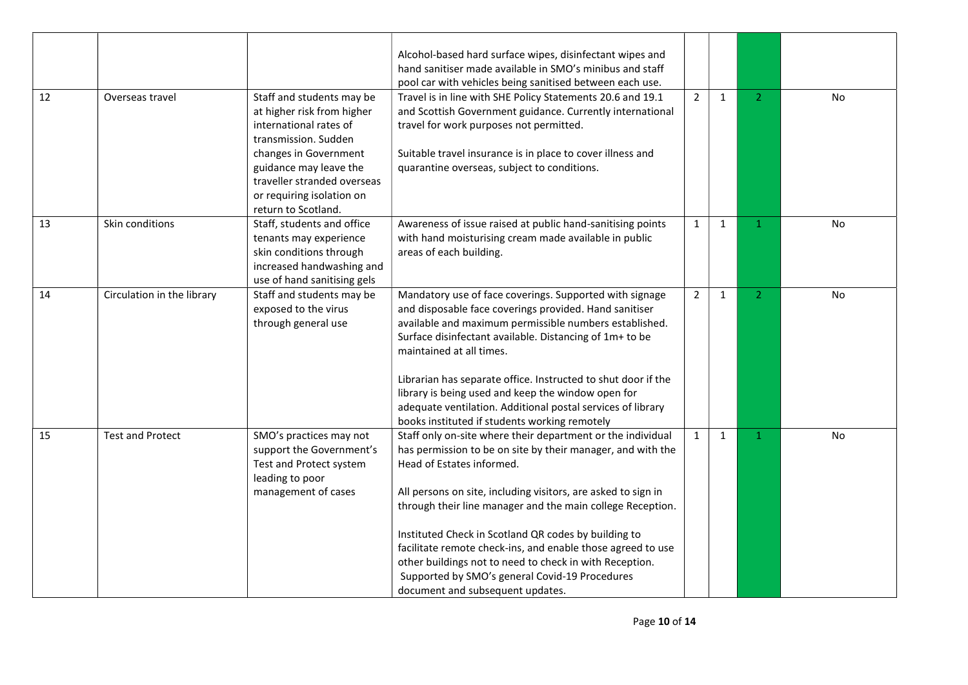|    |                            |                             | Alcohol-based hard surface wipes, disinfectant wipes and      |                |              |                |           |
|----|----------------------------|-----------------------------|---------------------------------------------------------------|----------------|--------------|----------------|-----------|
|    |                            |                             | hand sanitiser made available in SMO's minibus and staff      |                |              |                |           |
|    |                            |                             | pool car with vehicles being sanitised between each use.      |                |              |                |           |
| 12 | Overseas travel            | Staff and students may be   | Travel is in line with SHE Policy Statements 20.6 and 19.1    | $\overline{2}$ | $\mathbf{1}$ | 2 <sup>1</sup> | No        |
|    |                            | at higher risk from higher  | and Scottish Government guidance. Currently international     |                |              |                |           |
|    |                            | international rates of      | travel for work purposes not permitted.                       |                |              |                |           |
|    |                            | transmission. Sudden        |                                                               |                |              |                |           |
|    |                            | changes in Government       | Suitable travel insurance is in place to cover illness and    |                |              |                |           |
|    |                            | guidance may leave the      | quarantine overseas, subject to conditions.                   |                |              |                |           |
|    |                            | traveller stranded overseas |                                                               |                |              |                |           |
|    |                            | or requiring isolation on   |                                                               |                |              |                |           |
|    |                            | return to Scotland.         |                                                               |                |              |                |           |
| 13 | Skin conditions            | Staff, students and office  | Awareness of issue raised at public hand-sanitising points    | $\mathbf{1}$   | $\mathbf{1}$ | $\mathbf{1}$   | No        |
|    |                            | tenants may experience      | with hand moisturising cream made available in public         |                |              |                |           |
|    |                            | skin conditions through     | areas of each building.                                       |                |              |                |           |
|    |                            | increased handwashing and   |                                                               |                |              |                |           |
|    |                            | use of hand sanitising gels |                                                               |                |              |                |           |
| 14 | Circulation in the library | Staff and students may be   | Mandatory use of face coverings. Supported with signage       | $\overline{2}$ | $\mathbf{1}$ | $\overline{2}$ | <b>No</b> |
|    |                            | exposed to the virus        | and disposable face coverings provided. Hand sanitiser        |                |              |                |           |
|    |                            | through general use         | available and maximum permissible numbers established.        |                |              |                |           |
|    |                            |                             | Surface disinfectant available. Distancing of 1m+ to be       |                |              |                |           |
|    |                            |                             | maintained at all times.                                      |                |              |                |           |
|    |                            |                             |                                                               |                |              |                |           |
|    |                            |                             | Librarian has separate office. Instructed to shut door if the |                |              |                |           |
|    |                            |                             | library is being used and keep the window open for            |                |              |                |           |
|    |                            |                             | adequate ventilation. Additional postal services of library   |                |              |                |           |
|    |                            |                             | books instituted if students working remotely                 |                |              |                |           |
| 15 | <b>Test and Protect</b>    | SMO's practices may not     | Staff only on-site where their department or the individual   | $\mathbf{1}$   | $\mathbf{1}$ | $\mathbf{1}$   | <b>No</b> |
|    |                            | support the Government's    | has permission to be on site by their manager, and with the   |                |              |                |           |
|    |                            | Test and Protect system     | Head of Estates informed.                                     |                |              |                |           |
|    |                            | leading to poor             |                                                               |                |              |                |           |
|    |                            | management of cases         | All persons on site, including visitors, are asked to sign in |                |              |                |           |
|    |                            |                             | through their line manager and the main college Reception.    |                |              |                |           |
|    |                            |                             |                                                               |                |              |                |           |
|    |                            |                             | Instituted Check in Scotland QR codes by building to          |                |              |                |           |
|    |                            |                             | facilitate remote check-ins, and enable those agreed to use   |                |              |                |           |
|    |                            |                             | other buildings not to need to check in with Reception.       |                |              |                |           |
|    |                            |                             | Supported by SMO's general Covid-19 Procedures                |                |              |                |           |
|    |                            |                             | document and subsequent updates.                              |                |              |                |           |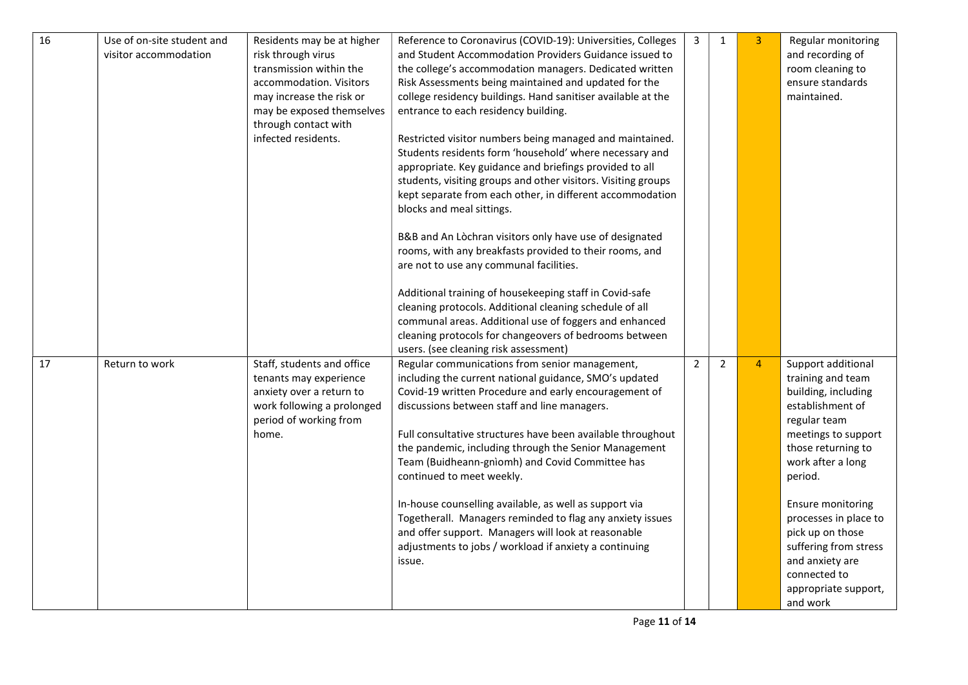| 16 | Use of on-site student and<br>visitor accommodation | Residents may be at higher<br>risk through virus<br>transmission within the<br>accommodation. Visitors<br>may increase the risk or<br>may be exposed themselves<br>through contact with<br>infected residents. | Reference to Coronavirus (COVID-19): Universities, Colleges<br>and Student Accommodation Providers Guidance issued to<br>the college's accommodation managers. Dedicated written<br>Risk Assessments being maintained and updated for the<br>college residency buildings. Hand sanitiser available at the<br>entrance to each residency building.<br>Restricted visitor numbers being managed and maintained.<br>Students residents form 'household' where necessary and<br>appropriate. Key guidance and briefings provided to all<br>students, visiting groups and other visitors. Visiting groups<br>kept separate from each other, in different accommodation<br>blocks and meal sittings.<br>B&B and An Lòchran visitors only have use of designated<br>rooms, with any breakfasts provided to their rooms, and<br>are not to use any communal facilities.<br>Additional training of housekeeping staff in Covid-safe<br>cleaning protocols. Additional cleaning schedule of all<br>communal areas. Additional use of foggers and enhanced<br>cleaning protocols for changeovers of bedrooms between<br>users. (see cleaning risk assessment) | 3              | $\mathbf{1}$   | 3 <sup>1</sup> | Regular monitoring<br>and recording of<br>room cleaning to<br>ensure standards<br>maintained.                                                                                                                                                                                                                                                     |
|----|-----------------------------------------------------|----------------------------------------------------------------------------------------------------------------------------------------------------------------------------------------------------------------|----------------------------------------------------------------------------------------------------------------------------------------------------------------------------------------------------------------------------------------------------------------------------------------------------------------------------------------------------------------------------------------------------------------------------------------------------------------------------------------------------------------------------------------------------------------------------------------------------------------------------------------------------------------------------------------------------------------------------------------------------------------------------------------------------------------------------------------------------------------------------------------------------------------------------------------------------------------------------------------------------------------------------------------------------------------------------------------------------------------------------------------------------|----------------|----------------|----------------|---------------------------------------------------------------------------------------------------------------------------------------------------------------------------------------------------------------------------------------------------------------------------------------------------------------------------------------------------|
| 17 | Return to work                                      | Staff, students and office<br>tenants may experience<br>anxiety over a return to<br>work following a prolonged<br>period of working from<br>home.                                                              | Regular communications from senior management,<br>including the current national guidance, SMO's updated<br>Covid-19 written Procedure and early encouragement of<br>discussions between staff and line managers.<br>Full consultative structures have been available throughout<br>the pandemic, including through the Senior Management<br>Team (Buidheann-gnìomh) and Covid Committee has<br>continued to meet weekly.<br>In-house counselling available, as well as support via<br>Togetherall. Managers reminded to flag any anxiety issues<br>and offer support. Managers will look at reasonable<br>adjustments to jobs / workload if anxiety a continuing<br>issue.                                                                                                                                                                                                                                                                                                                                                                                                                                                                        | $\overline{2}$ | $\overline{2}$ | $\overline{4}$ | Support additional<br>training and team<br>building, including<br>establishment of<br>regular team<br>meetings to support<br>those returning to<br>work after a long<br>period.<br>Ensure monitoring<br>processes in place to<br>pick up on those<br>suffering from stress<br>and anxiety are<br>connected to<br>appropriate support,<br>and work |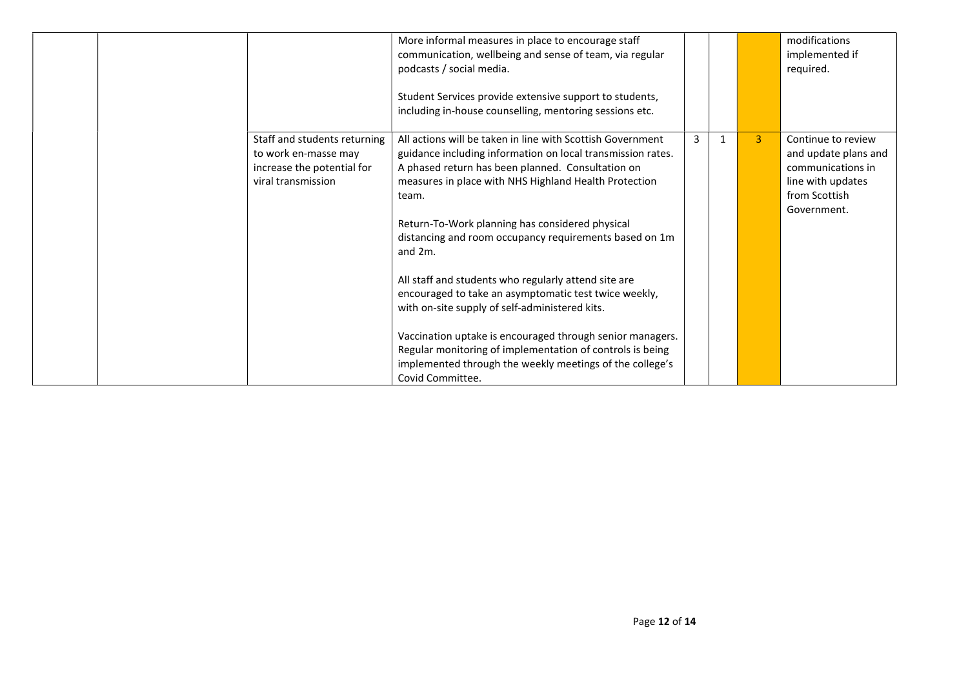|                                                                                                          | More informal measures in place to encourage staff<br>communication, wellbeing and sense of team, via regular<br>podcasts / social media.<br>Student Services provide extensive support to students,<br>including in-house counselling, mentoring sessions etc.                                                                                                                                                                                                                                                                                                                                                                                                                                                                                          |   |                | modifications<br>implemented if<br>required.                                                                         |
|----------------------------------------------------------------------------------------------------------|----------------------------------------------------------------------------------------------------------------------------------------------------------------------------------------------------------------------------------------------------------------------------------------------------------------------------------------------------------------------------------------------------------------------------------------------------------------------------------------------------------------------------------------------------------------------------------------------------------------------------------------------------------------------------------------------------------------------------------------------------------|---|----------------|----------------------------------------------------------------------------------------------------------------------|
| Staff and students returning<br>to work en-masse may<br>increase the potential for<br>viral transmission | All actions will be taken in line with Scottish Government<br>guidance including information on local transmission rates.<br>A phased return has been planned. Consultation on<br>measures in place with NHS Highland Health Protection<br>team.<br>Return-To-Work planning has considered physical<br>distancing and room occupancy requirements based on 1m<br>and $2m$ .<br>All staff and students who regularly attend site are<br>encouraged to take an asymptomatic test twice weekly,<br>with on-site supply of self-administered kits.<br>Vaccination uptake is encouraged through senior managers.<br>Regular monitoring of implementation of controls is being<br>implemented through the weekly meetings of the college's<br>Covid Committee. | 3 | $\overline{3}$ | Continue to review<br>and update plans and<br>communications in<br>line with updates<br>from Scottish<br>Government. |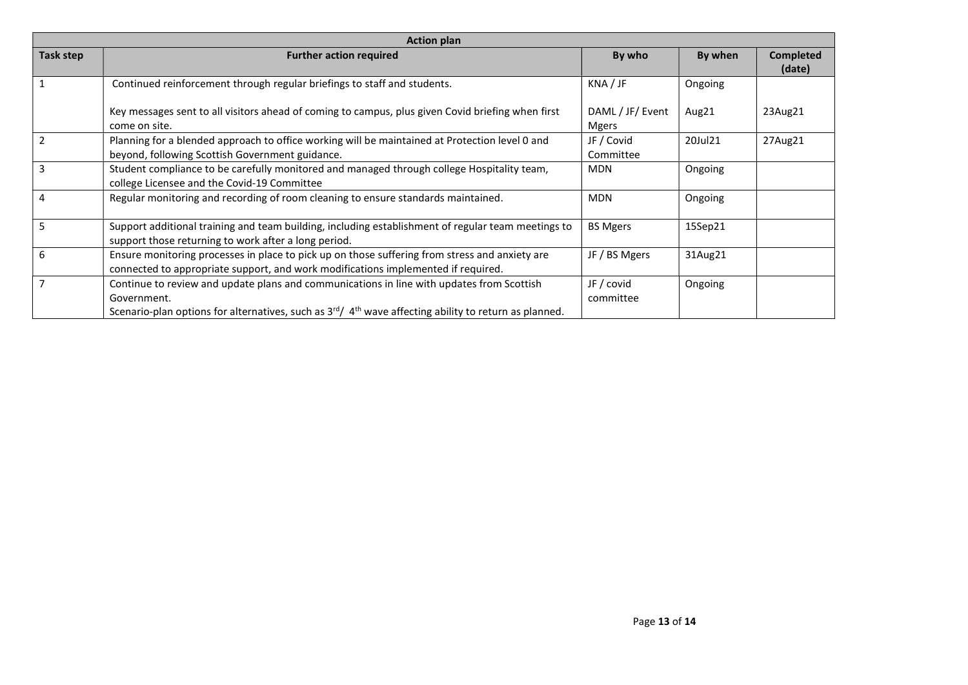| <b>Action plan</b> |                                                                                                                                                                                                                          |                                  |         |                            |  |  |
|--------------------|--------------------------------------------------------------------------------------------------------------------------------------------------------------------------------------------------------------------------|----------------------------------|---------|----------------------------|--|--|
| Task step          | <b>Further action required</b>                                                                                                                                                                                           | By who                           | By when | <b>Completed</b><br>(date) |  |  |
|                    | Continued reinforcement through regular briefings to staff and students.                                                                                                                                                 | KNA/JF                           | Ongoing |                            |  |  |
|                    | Key messages sent to all visitors ahead of coming to campus, plus given Covid briefing when first<br>come on site.                                                                                                       | DAML / JF/ Event<br><b>Mgers</b> | Aug21   | 23Aug21                    |  |  |
|                    | Planning for a blended approach to office working will be maintained at Protection level 0 and<br>beyond, following Scottish Government guidance.                                                                        | JF / Covid<br>Committee          | 20Jul21 | 27Aug21                    |  |  |
| 3                  | Student compliance to be carefully monitored and managed through college Hospitality team,<br>college Licensee and the Covid-19 Committee                                                                                | <b>MDN</b>                       | Ongoing |                            |  |  |
| 4                  | Regular monitoring and recording of room cleaning to ensure standards maintained.                                                                                                                                        | <b>MDN</b>                       | Ongoing |                            |  |  |
|                    | Support additional training and team building, including establishment of regular team meetings to<br>support those returning to work after a long period.                                                               | <b>BS Mgers</b>                  | 15Sep21 |                            |  |  |
| 6                  | Ensure monitoring processes in place to pick up on those suffering from stress and anxiety are<br>connected to appropriate support, and work modifications implemented if required.                                      | JF / BS Mgers                    | 31Aug21 |                            |  |  |
|                    | Continue to review and update plans and communications in line with updates from Scottish<br>Government.<br>Scenario-plan options for alternatives, such as $3^{rd}/4^{th}$ wave affecting ability to return as planned. | JF / covid<br>committee          | Ongoing |                            |  |  |